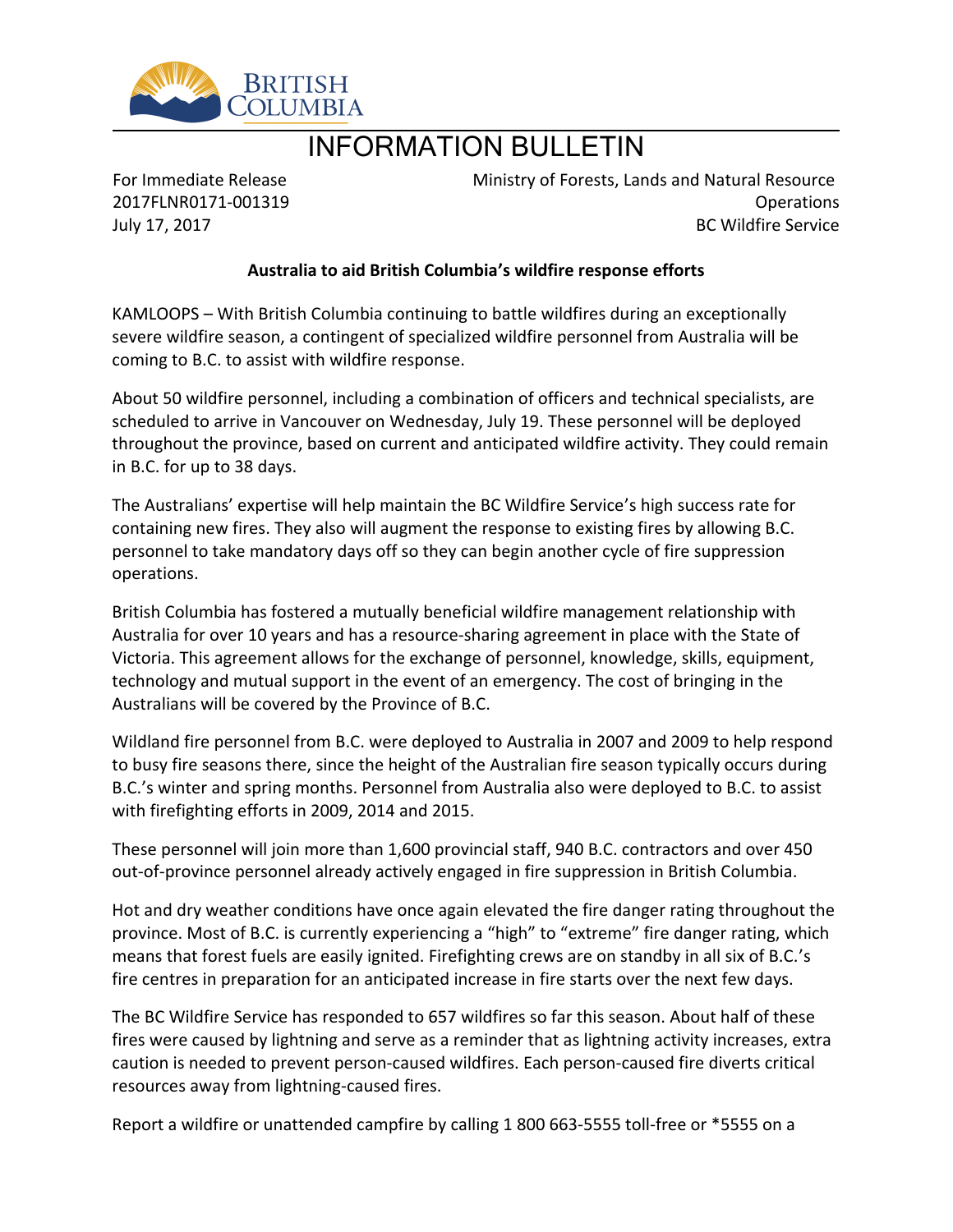

# INFORMATION BULLETIN

For Immediate Release 2017FLNR0171-001319 July 17, 2017

Ministry of Forests, Lands and Natural Resource Operations BC Wildfire Service

## **Australia to aid British Columbia͛s wildfire response efforts**

KAMLOOPS – With British Columbia continuing to battle wildfires during an exceptionally severe wildfire season, a contingent of specialized wildfire personnel from Australia will be coming to B.C. to assist with wildfire response.

About 50 wildfire personnel, including a combination of officers and technical specialists, are scheduled to arrive in Vancouver on Wednesday, July 19. These personnel will be deployed throughout the province, based on current and anticipated wildfire activity. They could remain in B.C. for up to 38 days.

The Australians' expertise will help maintain the BC Wildfire Service's high success rate for containing new fires. They also will augment the response to existing fires by allowing B.C. personnel to take mandatory days off so they can begin another cycle of fire suppression operations.

British Columbia has fostered a mutually beneficial wildfire management relationship with Australia for over 10 years and has a resource-sharing agreement in place with the State of Victoria. This agreement allows for the exchange of personnel, knowledge, skills, equipment, technology and mutual support in the event of an emergency. The cost of bringing in the Australians will be covered by the Province of B.C.

Wildland fire personnel from B.C. were deployed to Australia in 2007 and 2009 to help respond to busy fire seasons there, since the height of the Australian fire season typically occurs during B.C.'s winter and spring months. Personnel from Australia also were deployed to B.C. to assist with firefighting efforts in 2009, 2014 and 2015.

These personnel will join more than 1,600 provincial staff, 940 B.C. contractors and over 450 out-of-province personnel already actively engaged in fire suppression in British Columbia.

Hot and dry weather conditions have once again elevated the fire danger rating throughout the province. Most of B.C. is currently experiencing a "high" to "extreme" fire danger rating, which means that forest fuels are easily ignited. Firefighting crews are on standby in all six of B.C.'s fire centres in preparation for an anticipated increase in fire starts over the next few days.

The BC Wildfire Service has responded to 657 wildfires so far this season. About half of these fires were caused by lightning and serve as a reminder that as lightning activity increases, extra caution is needed to prevent person-caused wildfires. Each person-caused fire diverts critical resources away from lightning-caused fires.

Report a wildfire or unattended campfire by calling 1 800 663-5555 toll-free or \*5555 on a